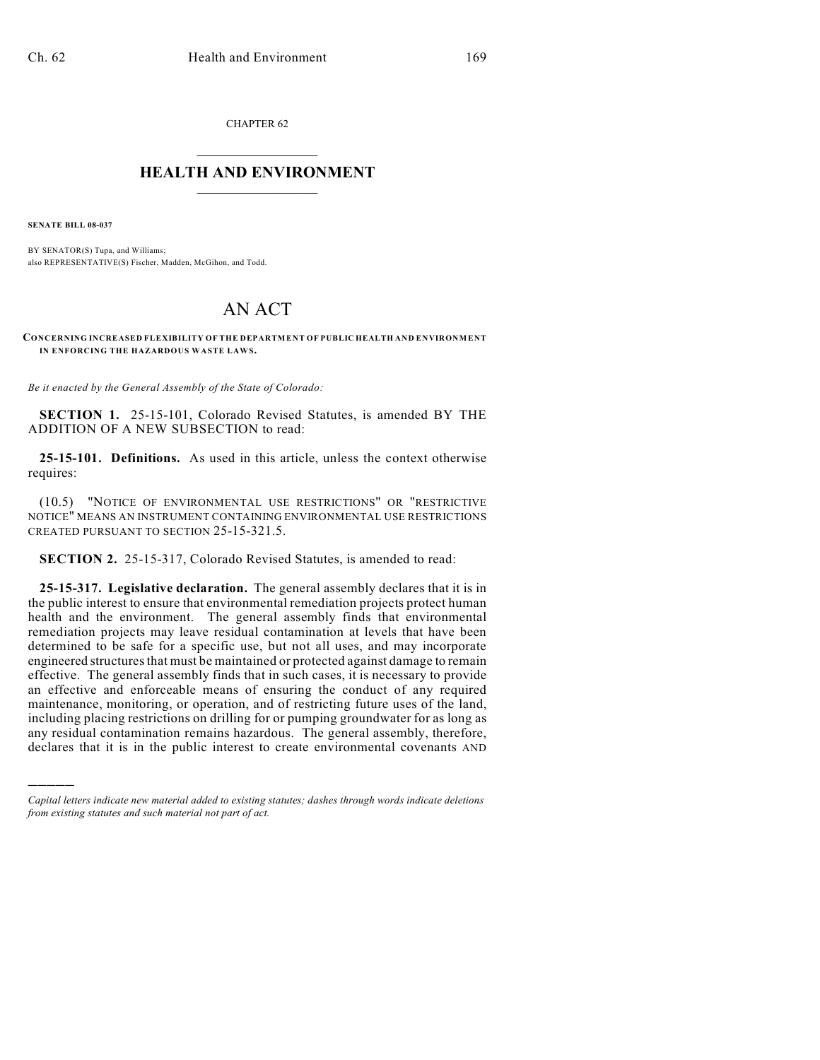CHAPTER 62  $\overline{\phantom{a}}$  . The set of the set of the set of the set of the set of the set of the set of the set of the set of the set of the set of the set of the set of the set of the set of the set of the set of the set of the set o

## **HEALTH AND ENVIRONMENT**  $\_$

**SENATE BILL 08-037**

)))))

BY SENATOR(S) Tupa, and Williams; also REPRESENTATIVE(S) Fischer, Madden, McGihon, and Todd.

## AN ACT

**CONCERNING INCREASED FLEXIBILITY OF THE DEPARTMENT OF PUBLIC HEALTH AND ENVIRONMENT** IN ENFORCING THE HAZARDOUS WASTE LAWS.

*Be it enacted by the General Assembly of the State of Colorado:*

**SECTION 1.** 25-15-101, Colorado Revised Statutes, is amended BY THE ADDITION OF A NEW SUBSECTION to read:

**25-15-101. Definitions.** As used in this article, unless the context otherwise requires:

(10.5) "NOTICE OF ENVIRONMENTAL USE RESTRICTIONS" OR "RESTRICTIVE NOTICE" MEANS AN INSTRUMENT CONTAINING ENVIRONMENTAL USE RESTRICTIONS CREATED PURSUANT TO SECTION 25-15-321.5.

**SECTION 2.** 25-15-317, Colorado Revised Statutes, is amended to read:

**25-15-317. Legislative declaration.** The general assembly declares that it is in the public interest to ensure that environmental remediation projects protect human health and the environment. The general assembly finds that environmental remediation projects may leave residual contamination at levels that have been determined to be safe for a specific use, but not all uses, and may incorporate engineered structures that must be maintained or protected against damage to remain effective. The general assembly finds that in such cases, it is necessary to provide an effective and enforceable means of ensuring the conduct of any required maintenance, monitoring, or operation, and of restricting future uses of the land, including placing restrictions on drilling for or pumping groundwater for as long as any residual contamination remains hazardous. The general assembly, therefore, declares that it is in the public interest to create environmental covenants AND

*Capital letters indicate new material added to existing statutes; dashes through words indicate deletions from existing statutes and such material not part of act.*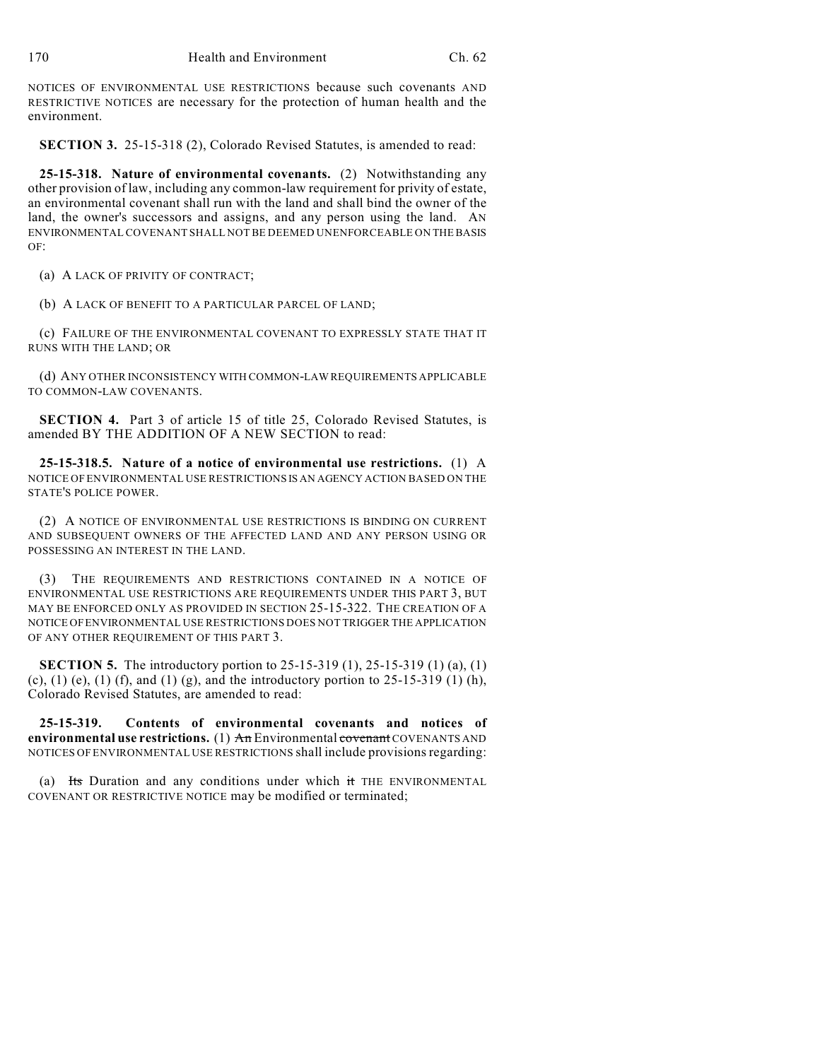NOTICES OF ENVIRONMENTAL USE RESTRICTIONS because such covenants AND RESTRICTIVE NOTICES are necessary for the protection of human health and the environment.

**SECTION 3.** 25-15-318 (2), Colorado Revised Statutes, is amended to read:

**25-15-318. Nature of environmental covenants.** (2) Notwithstanding any other provision of law, including any common-law requirement for privity of estate, an environmental covenant shall run with the land and shall bind the owner of the land, the owner's successors and assigns, and any person using the land. AN ENVIRONMENTAL COVENANT SHALL NOT BE DEEMED UNENFORCEABLE ON THE BASIS OF:

(a) A LACK OF PRIVITY OF CONTRACT;

(b) A LACK OF BENEFIT TO A PARTICULAR PARCEL OF LAND;

(c) FAILURE OF THE ENVIRONMENTAL COVENANT TO EXPRESSLY STATE THAT IT RUNS WITH THE LAND; OR

(d) ANY OTHER INCONSISTENCY WITH COMMON-LAW REQUIREMENTS APPLICABLE TO COMMON-LAW COVENANTS.

**SECTION 4.** Part 3 of article 15 of title 25, Colorado Revised Statutes, is amended BY THE ADDITION OF A NEW SECTION to read:

**25-15-318.5. Nature of a notice of environmental use restrictions.** (1) A NOTICE OF ENVIRONMENTAL USE RESTRICTIONS IS AN AGENCY ACTION BASED ON THE STATE'S POLICE POWER.

(2) A NOTICE OF ENVIRONMENTAL USE RESTRICTIONS IS BINDING ON CURRENT AND SUBSEQUENT OWNERS OF THE AFFECTED LAND AND ANY PERSON USING OR POSSESSING AN INTEREST IN THE LAND.

(3) THE REQUIREMENTS AND RESTRICTIONS CONTAINED IN A NOTICE OF ENVIRONMENTAL USE RESTRICTIONS ARE REQUIREMENTS UNDER THIS PART 3, BUT MAY BE ENFORCED ONLY AS PROVIDED IN SECTION 25-15-322. THE CREATION OF A NOTICE OF ENVIRONMENTAL USE RESTRICTIONS DOES NOT TRIGGER THE APPLICATION OF ANY OTHER REQUIREMENT OF THIS PART 3.

**SECTION 5.** The introductory portion to 25-15-319 (1), 25-15-319 (1) (a), (1) (c), (1) (e), (1) (f), and (1) (g), and the introductory portion to  $25-15-319$  (1) (h), Colorado Revised Statutes, are amended to read:

**25-15-319. Contents of environmental covenants and notices of environmental use restrictions.** (1) An Environmental covenant COVENANTS AND NOTICES OF ENVIRONMENTAL USE RESTRICTIONS shall include provisions regarding:

(a)  $H_s$  Duration and any conditions under which it THE ENVIRONMENTAL COVENANT OR RESTRICTIVE NOTICE may be modified or terminated;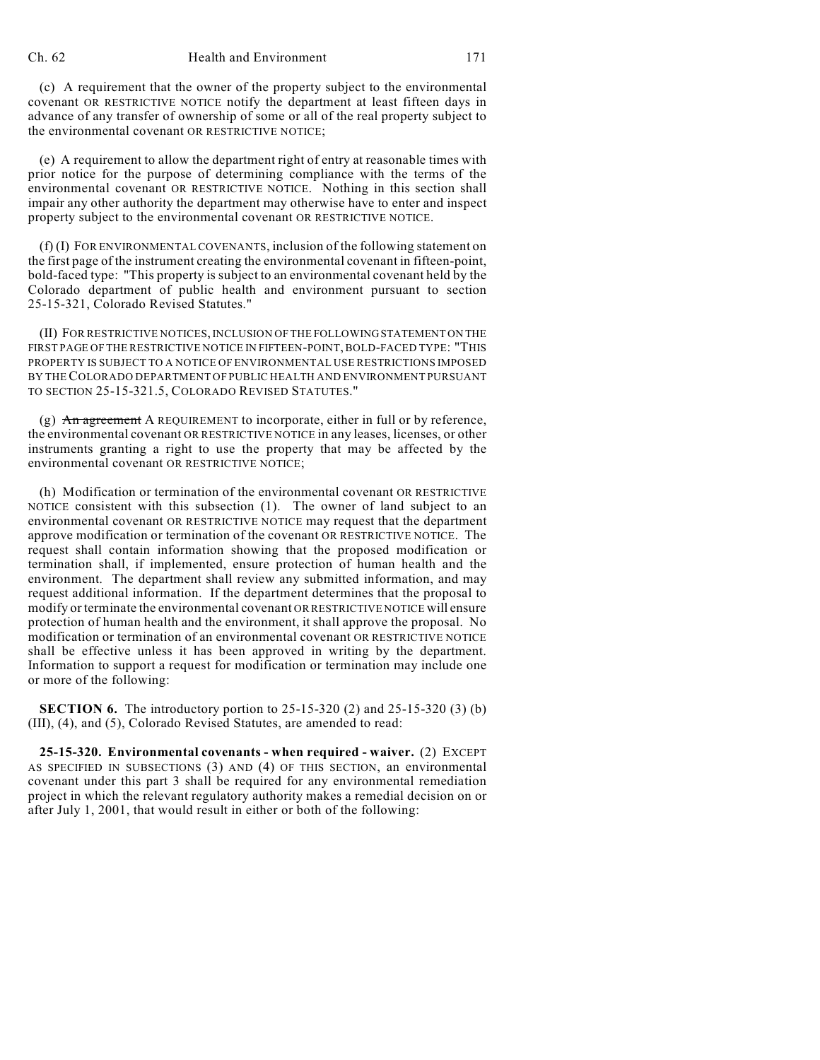## Ch. 62 Health and Environment 171

(c) A requirement that the owner of the property subject to the environmental covenant OR RESTRICTIVE NOTICE notify the department at least fifteen days in advance of any transfer of ownership of some or all of the real property subject to the environmental covenant OR RESTRICTIVE NOTICE;

(e) A requirement to allow the department right of entry at reasonable times with prior notice for the purpose of determining compliance with the terms of the environmental covenant OR RESTRICTIVE NOTICE. Nothing in this section shall impair any other authority the department may otherwise have to enter and inspect property subject to the environmental covenant OR RESTRICTIVE NOTICE.

(f) (I) FOR ENVIRONMENTAL COVENANTS, inclusion of the following statement on the first page of the instrument creating the environmental covenant in fifteen-point, bold-faced type: "This property is subject to an environmental covenant held by the Colorado department of public health and environment pursuant to section 25-15-321, Colorado Revised Statutes."

(II) FOR RESTRICTIVE NOTICES, INCLUSION OF THE FOLLOWING STATEMENT ON THE FIRST PAGE OF THE RESTRICTIVE NOTICE IN FIFTEEN-POINT, BOLD-FACED TYPE: "THIS PROPERTY IS SUBJECT TO A NOTICE OF ENVIRONMENTAL USE RESTRICTIONS IMPOSED BY THE COLORADO DEPARTMENT OF PUBLIC HEALTH AND ENVIRONMENT PURSUANT TO SECTION 25-15-321.5, COLORADO REVISED STATUTES."

(g) An agreement A REQUIREMENT to incorporate, either in full or by reference, the environmental covenant OR RESTRICTIVE NOTICE in any leases, licenses, or other instruments granting a right to use the property that may be affected by the environmental covenant OR RESTRICTIVE NOTICE;

(h) Modification or termination of the environmental covenant OR RESTRICTIVE NOTICE consistent with this subsection (1). The owner of land subject to an environmental covenant OR RESTRICTIVE NOTICE may request that the department approve modification or termination of the covenant OR RESTRICTIVE NOTICE. The request shall contain information showing that the proposed modification or termination shall, if implemented, ensure protection of human health and the environment. The department shall review any submitted information, and may request additional information. If the department determines that the proposal to modify or terminate the environmental covenant OR RESTRICTIVE NOTICE will ensure protection of human health and the environment, it shall approve the proposal. No modification or termination of an environmental covenant OR RESTRICTIVE NOTICE shall be effective unless it has been approved in writing by the department. Information to support a request for modification or termination may include one or more of the following:

**SECTION 6.** The introductory portion to 25-15-320 (2) and 25-15-320 (3) (b) (III), (4), and (5), Colorado Revised Statutes, are amended to read:

**25-15-320. Environmental covenants - when required - waiver.** (2) EXCEPT AS SPECIFIED IN SUBSECTIONS (3) AND (4) OF THIS SECTION, an environmental covenant under this part 3 shall be required for any environmental remediation project in which the relevant regulatory authority makes a remedial decision on or after July 1, 2001, that would result in either or both of the following: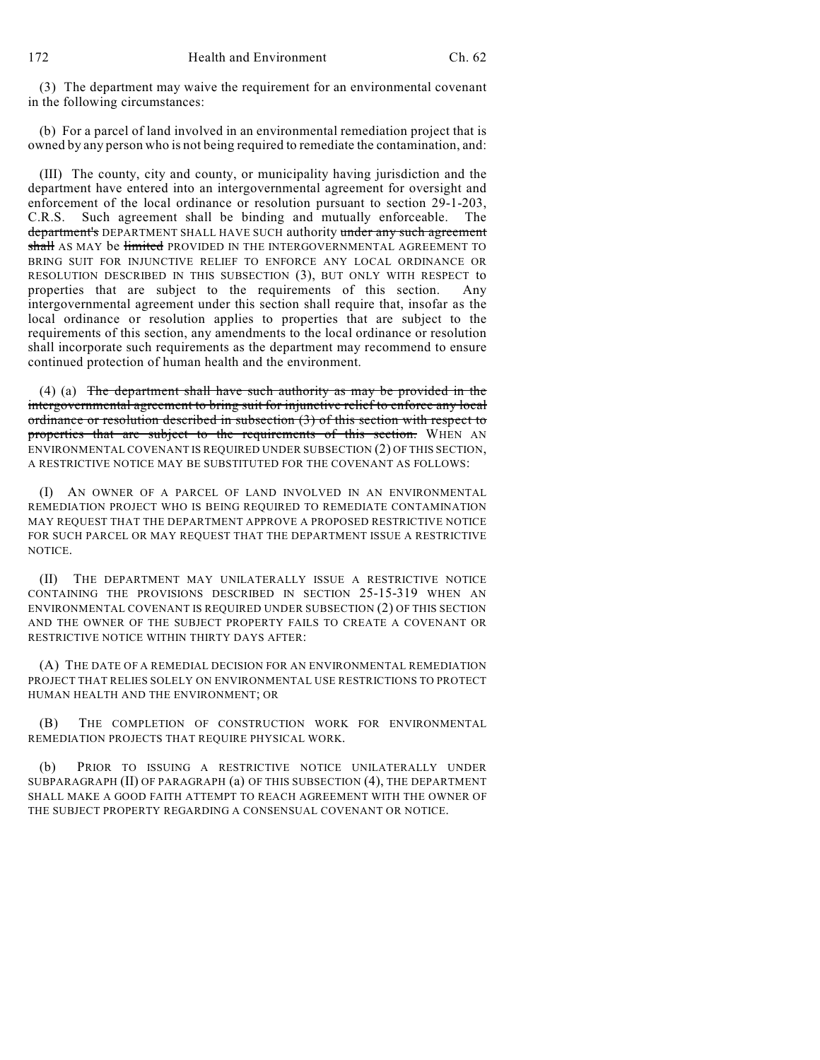(3) The department may waive the requirement for an environmental covenant in the following circumstances:

(b) For a parcel of land involved in an environmental remediation project that is owned by any person who is not being required to remediate the contamination, and:

(III) The county, city and county, or municipality having jurisdiction and the department have entered into an intergovernmental agreement for oversight and enforcement of the local ordinance or resolution pursuant to section 29-1-203, C.R.S. Such agreement shall be binding and mutually enforceable. The department's DEPARTMENT SHALL HAVE SUCH authority under any such agreement shall AS MAY be limited PROVIDED IN THE INTERGOVERNMENTAL AGREEMENT TO BRING SUIT FOR INJUNCTIVE RELIEF TO ENFORCE ANY LOCAL ORDINANCE OR RESOLUTION DESCRIBED IN THIS SUBSECTION (3), BUT ONLY WITH RESPECT to properties that are subject to the requirements of this section. Any intergovernmental agreement under this section shall require that, insofar as the local ordinance or resolution applies to properties that are subject to the requirements of this section, any amendments to the local ordinance or resolution shall incorporate such requirements as the department may recommend to ensure continued protection of human health and the environment.

(4) (a) The department shall have such authority as may be provided in the intergovernmental agreement to bring suit for injunctive relief to enforce any local ordinance or resolution described in subsection (3) of this section with respect to properties that are subject to the requirements of this section. WHEN AN ENVIRONMENTAL COVENANT IS REQUIRED UNDER SUBSECTION (2) OF THIS SECTION, A RESTRICTIVE NOTICE MAY BE SUBSTITUTED FOR THE COVENANT AS FOLLOWS:

(I) AN OWNER OF A PARCEL OF LAND INVOLVED IN AN ENVIRONMENTAL REMEDIATION PROJECT WHO IS BEING REQUIRED TO REMEDIATE CONTAMINATION MAY REQUEST THAT THE DEPARTMENT APPROVE A PROPOSED RESTRICTIVE NOTICE FOR SUCH PARCEL OR MAY REQUEST THAT THE DEPARTMENT ISSUE A RESTRICTIVE NOTICE.

(II) THE DEPARTMENT MAY UNILATERALLY ISSUE A RESTRICTIVE NOTICE CONTAINING THE PROVISIONS DESCRIBED IN SECTION 25-15-319 WHEN AN ENVIRONMENTAL COVENANT IS REQUIRED UNDER SUBSECTION (2) OF THIS SECTION AND THE OWNER OF THE SUBJECT PROPERTY FAILS TO CREATE A COVENANT OR RESTRICTIVE NOTICE WITHIN THIRTY DAYS AFTER:

(A) THE DATE OF A REMEDIAL DECISION FOR AN ENVIRONMENTAL REMEDIATION PROJECT THAT RELIES SOLELY ON ENVIRONMENTAL USE RESTRICTIONS TO PROTECT HUMAN HEALTH AND THE ENVIRONMENT; OR

(B) THE COMPLETION OF CONSTRUCTION WORK FOR ENVIRONMENTAL REMEDIATION PROJECTS THAT REQUIRE PHYSICAL WORK.

(b) PRIOR TO ISSUING A RESTRICTIVE NOTICE UNILATERALLY UNDER SUBPARAGRAPH (II) OF PARAGRAPH (a) OF THIS SUBSECTION (4), THE DEPARTMENT SHALL MAKE A GOOD FAITH ATTEMPT TO REACH AGREEMENT WITH THE OWNER OF THE SUBJECT PROPERTY REGARDING A CONSENSUAL COVENANT OR NOTICE.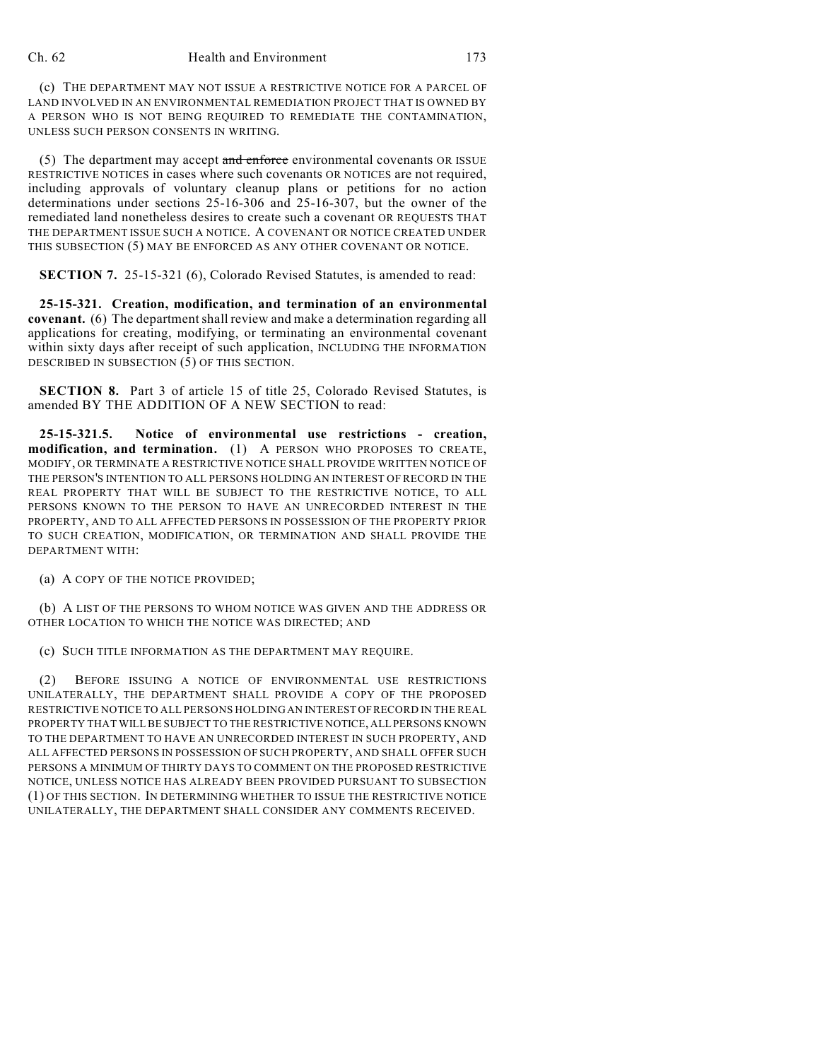(c) THE DEPARTMENT MAY NOT ISSUE A RESTRICTIVE NOTICE FOR A PARCEL OF LAND INVOLVED IN AN ENVIRONMENTAL REMEDIATION PROJECT THAT IS OWNED BY A PERSON WHO IS NOT BEING REQUIRED TO REMEDIATE THE CONTAMINATION, UNLESS SUCH PERSON CONSENTS IN WRITING.

(5) The department may accept and enforce environmental covenants OR ISSUE RESTRICTIVE NOTICES in cases where such covenants OR NOTICES are not required, including approvals of voluntary cleanup plans or petitions for no action determinations under sections 25-16-306 and 25-16-307, but the owner of the remediated land nonetheless desires to create such a covenant OR REQUESTS THAT THE DEPARTMENT ISSUE SUCH A NOTICE. A COVENANT OR NOTICE CREATED UNDER THIS SUBSECTION (5) MAY BE ENFORCED AS ANY OTHER COVENANT OR NOTICE.

**SECTION 7.** 25-15-321 (6), Colorado Revised Statutes, is amended to read:

**25-15-321. Creation, modification, and termination of an environmental covenant.** (6) The department shall review and make a determination regarding all applications for creating, modifying, or terminating an environmental covenant within sixty days after receipt of such application, INCLUDING THE INFORMATION DESCRIBED IN SUBSECTION (5) OF THIS SECTION.

**SECTION 8.** Part 3 of article 15 of title 25, Colorado Revised Statutes, is amended BY THE ADDITION OF A NEW SECTION to read:

**25-15-321.5. Notice of environmental use restrictions - creation, modification, and termination.** (1) A PERSON WHO PROPOSES TO CREATE, MODIFY, OR TERMINATE A RESTRICTIVE NOTICE SHALL PROVIDE WRITTEN NOTICE OF THE PERSON'S INTENTION TO ALL PERSONS HOLDING AN INTEREST OF RECORD IN THE REAL PROPERTY THAT WILL BE SUBJECT TO THE RESTRICTIVE NOTICE, TO ALL PERSONS KNOWN TO THE PERSON TO HAVE AN UNRECORDED INTEREST IN THE PROPERTY, AND TO ALL AFFECTED PERSONS IN POSSESSION OF THE PROPERTY PRIOR TO SUCH CREATION, MODIFICATION, OR TERMINATION AND SHALL PROVIDE THE DEPARTMENT WITH:

(a) A COPY OF THE NOTICE PROVIDED;

(b) A LIST OF THE PERSONS TO WHOM NOTICE WAS GIVEN AND THE ADDRESS OR OTHER LOCATION TO WHICH THE NOTICE WAS DIRECTED; AND

(c) SUCH TITLE INFORMATION AS THE DEPARTMENT MAY REQUIRE.

(2) BEFORE ISSUING A NOTICE OF ENVIRONMENTAL USE RESTRICTIONS UNILATERALLY, THE DEPARTMENT SHALL PROVIDE A COPY OF THE PROPOSED RESTRICTIVE NOTICE TO ALL PERSONS HOLDING AN INTEREST OF RECORD IN THE REAL PROPERTY THAT WILL BE SUBJECT TO THE RESTRICTIVE NOTICE, ALL PERSONS KNOWN TO THE DEPARTMENT TO HAVE AN UNRECORDED INTEREST IN SUCH PROPERTY, AND ALL AFFECTED PERSONS IN POSSESSION OF SUCH PROPERTY, AND SHALL OFFER SUCH PERSONS A MINIMUM OF THIRTY DAYS TO COMMENT ON THE PROPOSED RESTRICTIVE NOTICE, UNLESS NOTICE HAS ALREADY BEEN PROVIDED PURSUANT TO SUBSECTION (1) OF THIS SECTION. IN DETERMINING WHETHER TO ISSUE THE RESTRICTIVE NOTICE UNILATERALLY, THE DEPARTMENT SHALL CONSIDER ANY COMMENTS RECEIVED.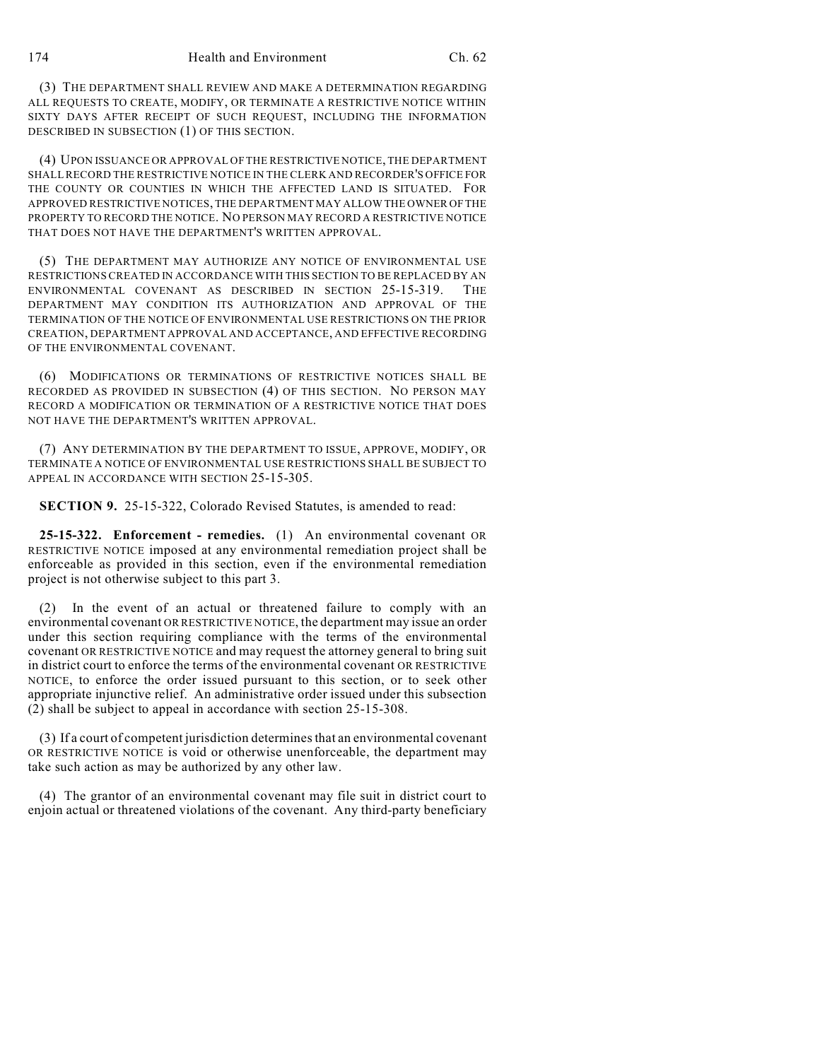(3) THE DEPARTMENT SHALL REVIEW AND MAKE A DETERMINATION REGARDING ALL REQUESTS TO CREATE, MODIFY, OR TERMINATE A RESTRICTIVE NOTICE WITHIN SIXTY DAYS AFTER RECEIPT OF SUCH REQUEST, INCLUDING THE INFORMATION DESCRIBED IN SUBSECTION (1) OF THIS SECTION.

(4) UPON ISSUANCE OR APPROVAL OF THE RESTRICTIVE NOTICE, THE DEPARTMENT SHALLRECORD THE RESTRICTIVE NOTICE IN THE CLERK AND RECORDER'S OFFICE FOR THE COUNTY OR COUNTIES IN WHICH THE AFFECTED LAND IS SITUATED. FOR APPROVED RESTRICTIVE NOTICES, THE DEPARTMENT MAY ALLOW THE OWNER OF THE PROPERTY TO RECORD THE NOTICE. NO PERSON MAY RECORD A RESTRICTIVE NOTICE THAT DOES NOT HAVE THE DEPARTMENT'S WRITTEN APPROVAL.

(5) THE DEPARTMENT MAY AUTHORIZE ANY NOTICE OF ENVIRONMENTAL USE RESTRICTIONS CREATED IN ACCORDANCE WITH THIS SECTION TO BE REPLACED BY AN ENVIRONMENTAL COVENANT AS DESCRIBED IN SECTION 25-15-319. THE DEPARTMENT MAY CONDITION ITS AUTHORIZATION AND APPROVAL OF THE TERMINATION OF THE NOTICE OF ENVIRONMENTAL USE RESTRICTIONS ON THE PRIOR CREATION, DEPARTMENT APPROVAL AND ACCEPTANCE, AND EFFECTIVE RECORDING OF THE ENVIRONMENTAL COVENANT.

(6) MODIFICATIONS OR TERMINATIONS OF RESTRICTIVE NOTICES SHALL BE RECORDED AS PROVIDED IN SUBSECTION (4) OF THIS SECTION. NO PERSON MAY RECORD A MODIFICATION OR TERMINATION OF A RESTRICTIVE NOTICE THAT DOES NOT HAVE THE DEPARTMENT'S WRITTEN APPROVAL.

(7) ANY DETERMINATION BY THE DEPARTMENT TO ISSUE, APPROVE, MODIFY, OR TERMINATE A NOTICE OF ENVIRONMENTAL USE RESTRICTIONS SHALL BE SUBJECT TO APPEAL IN ACCORDANCE WITH SECTION 25-15-305.

**SECTION 9.** 25-15-322, Colorado Revised Statutes, is amended to read:

**25-15-322. Enforcement - remedies.** (1) An environmental covenant OR RESTRICTIVE NOTICE imposed at any environmental remediation project shall be enforceable as provided in this section, even if the environmental remediation project is not otherwise subject to this part 3.

(2) In the event of an actual or threatened failure to comply with an environmental covenant OR RESTRICTIVE NOTICE, the department may issue an order under this section requiring compliance with the terms of the environmental covenant OR RESTRICTIVE NOTICE and may request the attorney general to bring suit in district court to enforce the terms of the environmental covenant OR RESTRICTIVE NOTICE, to enforce the order issued pursuant to this section, or to seek other appropriate injunctive relief. An administrative order issued under this subsection (2) shall be subject to appeal in accordance with section 25-15-308.

(3) If a court of competent jurisdiction determines that an environmental covenant OR RESTRICTIVE NOTICE is void or otherwise unenforceable, the department may take such action as may be authorized by any other law.

(4) The grantor of an environmental covenant may file suit in district court to enjoin actual or threatened violations of the covenant. Any third-party beneficiary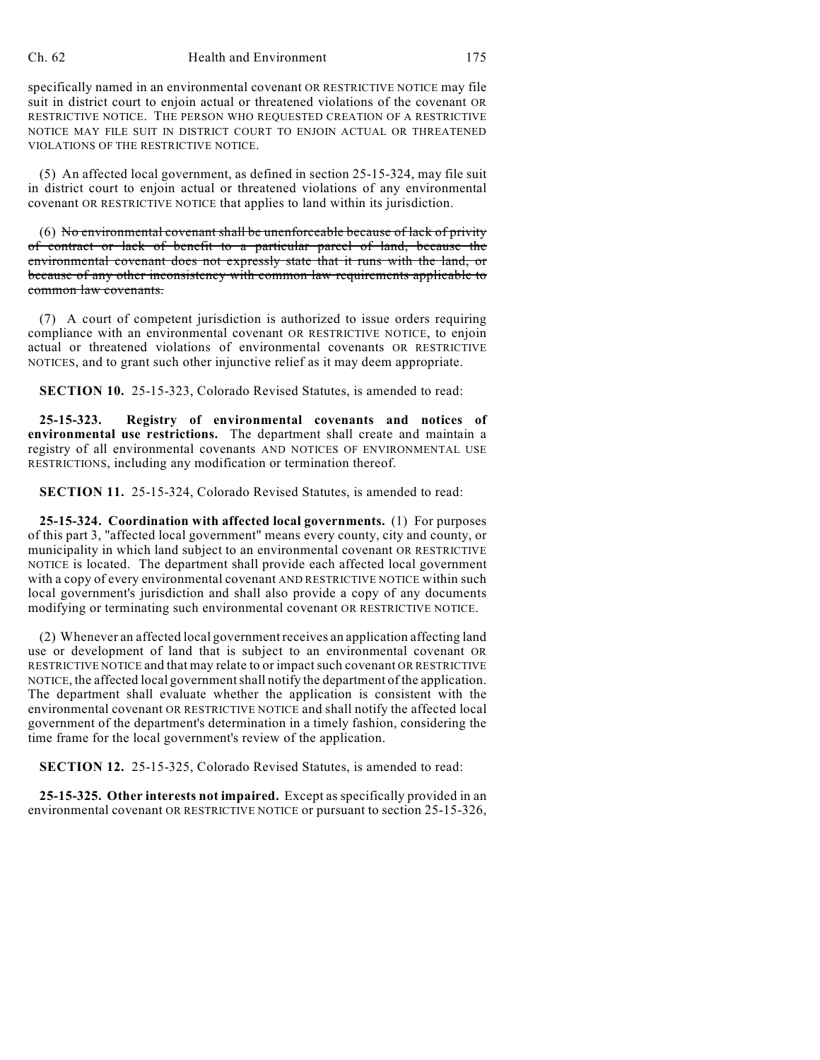## Ch. 62 Health and Environment 175

specifically named in an environmental covenant OR RESTRICTIVE NOTICE may file suit in district court to enjoin actual or threatened violations of the covenant OR RESTRICTIVE NOTICE. THE PERSON WHO REQUESTED CREATION OF A RESTRICTIVE NOTICE MAY FILE SUIT IN DISTRICT COURT TO ENJOIN ACTUAL OR THREATENED VIOLATIONS OF THE RESTRICTIVE NOTICE.

(5) An affected local government, as defined in section 25-15-324, may file suit in district court to enjoin actual or threatened violations of any environmental covenant OR RESTRICTIVE NOTICE that applies to land within its jurisdiction.

(6) No environmental covenant shall be unenforceable because of lack of privity of contract or lack of benefit to a particular parcel of land, because the environmental covenant does not expressly state that it runs with the land, or because of any other inconsistency with common law requirements applicable to common law covenants.

(7) A court of competent jurisdiction is authorized to issue orders requiring compliance with an environmental covenant OR RESTRICTIVE NOTICE, to enjoin actual or threatened violations of environmental covenants OR RESTRICTIVE NOTICES, and to grant such other injunctive relief as it may deem appropriate.

**SECTION 10.** 25-15-323, Colorado Revised Statutes, is amended to read:

**25-15-323. Registry of environmental covenants and notices of environmental use restrictions.** The department shall create and maintain a registry of all environmental covenants AND NOTICES OF ENVIRONMENTAL USE RESTRICTIONS, including any modification or termination thereof.

**SECTION 11.** 25-15-324, Colorado Revised Statutes, is amended to read:

**25-15-324. Coordination with affected local governments.** (1) For purposes of this part 3, "affected local government" means every county, city and county, or municipality in which land subject to an environmental covenant OR RESTRICTIVE NOTICE is located. The department shall provide each affected local government with a copy of every environmental covenant AND RESTRICTIVE NOTICE within such local government's jurisdiction and shall also provide a copy of any documents modifying or terminating such environmental covenant OR RESTRICTIVE NOTICE.

(2) Whenever an affected local government receives an application affecting land use or development of land that is subject to an environmental covenant OR RESTRICTIVE NOTICE and that may relate to or impact such covenant OR RESTRICTIVE NOTICE, the affected local government shall notify the department of the application. The department shall evaluate whether the application is consistent with the environmental covenant OR RESTRICTIVE NOTICE and shall notify the affected local government of the department's determination in a timely fashion, considering the time frame for the local government's review of the application.

**SECTION 12.** 25-15-325, Colorado Revised Statutes, is amended to read:

**25-15-325. Other interests not impaired.** Except as specifically provided in an environmental covenant OR RESTRICTIVE NOTICE or pursuant to section 25-15-326,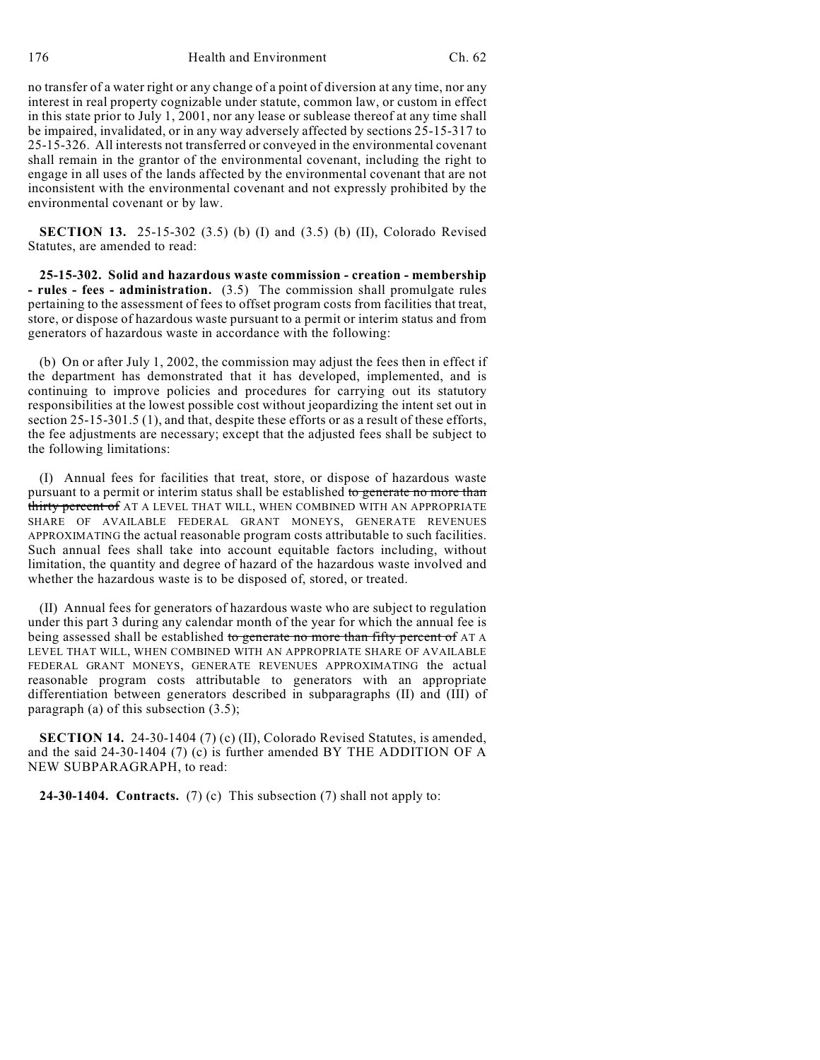no transfer of a water right or any change of a point of diversion at any time, nor any interest in real property cognizable under statute, common law, or custom in effect in this state prior to July 1, 2001, nor any lease or sublease thereof at any time shall be impaired, invalidated, or in any way adversely affected by sections 25-15-317 to 25-15-326. All interests not transferred or conveyed in the environmental covenant shall remain in the grantor of the environmental covenant, including the right to engage in all uses of the lands affected by the environmental covenant that are not inconsistent with the environmental covenant and not expressly prohibited by the environmental covenant or by law.

**SECTION 13.** 25-15-302 (3.5) (b) (I) and (3.5) (b) (II), Colorado Revised Statutes, are amended to read:

**25-15-302. Solid and hazardous waste commission - creation - membership - rules - fees - administration.** (3.5) The commission shall promulgate rules pertaining to the assessment of fees to offset program costs from facilities that treat, store, or dispose of hazardous waste pursuant to a permit or interim status and from generators of hazardous waste in accordance with the following:

(b) On or after July 1, 2002, the commission may adjust the fees then in effect if the department has demonstrated that it has developed, implemented, and is continuing to improve policies and procedures for carrying out its statutory responsibilities at the lowest possible cost without jeopardizing the intent set out in section 25-15-301.5 (1), and that, despite these efforts or as a result of these efforts, the fee adjustments are necessary; except that the adjusted fees shall be subject to the following limitations:

(I) Annual fees for facilities that treat, store, or dispose of hazardous waste pursuant to a permit or interim status shall be established to generate no more than thirty percent of AT A LEVEL THAT WILL, WHEN COMBINED WITH AN APPROPRIATE SHARE OF AVAILABLE FEDERAL GRANT MONEYS, GENERATE REVENUES APPROXIMATING the actual reasonable program costs attributable to such facilities. Such annual fees shall take into account equitable factors including, without limitation, the quantity and degree of hazard of the hazardous waste involved and whether the hazardous waste is to be disposed of, stored, or treated.

(II) Annual fees for generators of hazardous waste who are subject to regulation under this part 3 during any calendar month of the year for which the annual fee is being assessed shall be established to generate no more than fifty percent of AT A LEVEL THAT WILL, WHEN COMBINED WITH AN APPROPRIATE SHARE OF AVAILABLE FEDERAL GRANT MONEYS, GENERATE REVENUES APPROXIMATING the actual reasonable program costs attributable to generators with an appropriate differentiation between generators described in subparagraphs (II) and (III) of paragraph (a) of this subsection (3.5);

**SECTION 14.** 24-30-1404 (7) (c) (II), Colorado Revised Statutes, is amended, and the said 24-30-1404 (7) (c) is further amended BY THE ADDITION OF A NEW SUBPARAGRAPH, to read:

**24-30-1404. Contracts.** (7) (c) This subsection (7) shall not apply to: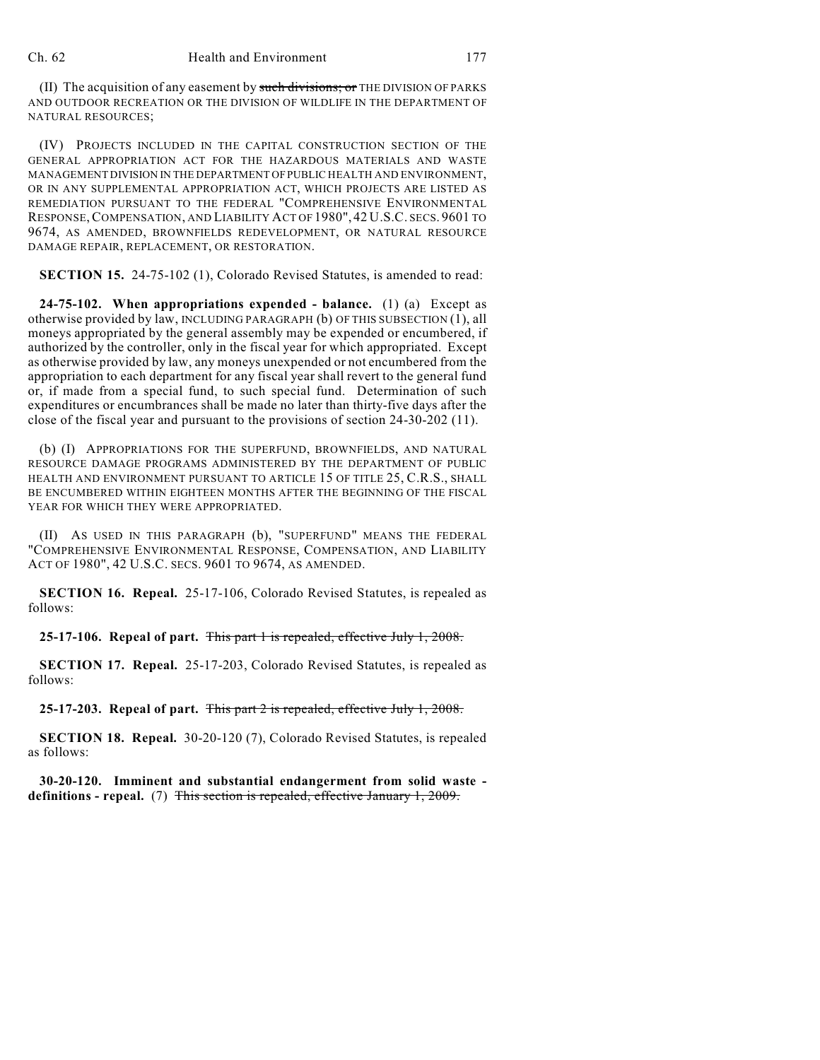(II) The acquisition of any easement by such divisions; or THE DIVISION OF PARKS AND OUTDOOR RECREATION OR THE DIVISION OF WILDLIFE IN THE DEPARTMENT OF NATURAL RESOURCES;

(IV) PROJECTS INCLUDED IN THE CAPITAL CONSTRUCTION SECTION OF THE GENERAL APPROPRIATION ACT FOR THE HAZARDOUS MATERIALS AND WASTE MANAGEMENT DIVISION IN THE DEPARTMENT OF PUBLIC HEALTH AND ENVIRONMENT, OR IN ANY SUPPLEMENTAL APPROPRIATION ACT, WHICH PROJECTS ARE LISTED AS REMEDIATION PURSUANT TO THE FEDERAL "COMPREHENSIVE ENVIRONMENTAL RESPONSE,COMPENSATION, AND LIABILITY ACT OF 1980", 42 U.S.C. SECS. 9601 TO 9674, AS AMENDED, BROWNFIELDS REDEVELOPMENT, OR NATURAL RESOURCE DAMAGE REPAIR, REPLACEMENT, OR RESTORATION.

**SECTION 15.** 24-75-102 (1), Colorado Revised Statutes, is amended to read:

**24-75-102. When appropriations expended - balance.** (1) (a) Except as otherwise provided by law, INCLUDING PARAGRAPH (b) OF THIS SUBSECTION (1), all moneys appropriated by the general assembly may be expended or encumbered, if authorized by the controller, only in the fiscal year for which appropriated. Except as otherwise provided by law, any moneys unexpended or not encumbered from the appropriation to each department for any fiscal year shall revert to the general fund or, if made from a special fund, to such special fund. Determination of such expenditures or encumbrances shall be made no later than thirty-five days after the close of the fiscal year and pursuant to the provisions of section 24-30-202 (11).

(b) (I) APPROPRIATIONS FOR THE SUPERFUND, BROWNFIELDS, AND NATURAL RESOURCE DAMAGE PROGRAMS ADMINISTERED BY THE DEPARTMENT OF PUBLIC HEALTH AND ENVIRONMENT PURSUANT TO ARTICLE 15 OF TITLE 25, C.R.S., SHALL BE ENCUMBERED WITHIN EIGHTEEN MONTHS AFTER THE BEGINNING OF THE FISCAL YEAR FOR WHICH THEY WERE APPROPRIATED.

(II) AS USED IN THIS PARAGRAPH (b), "SUPERFUND" MEANS THE FEDERAL "COMPREHENSIVE ENVIRONMENTAL RESPONSE, COMPENSATION, AND LIABILITY ACT OF 1980", 42 U.S.C. SECS. 9601 TO 9674, AS AMENDED.

**SECTION 16. Repeal.** 25-17-106, Colorado Revised Statutes, is repealed as follows:

**25-17-106. Repeal of part.** This part 1 is repealed, effective July 1, 2008.

**SECTION 17. Repeal.** 25-17-203, Colorado Revised Statutes, is repealed as follows:

**25-17-203. Repeal of part.** This part 2 is repealed, effective July 1, 2008.

**SECTION 18. Repeal.** 30-20-120 (7), Colorado Revised Statutes, is repealed as follows:

**30-20-120. Imminent and substantial endangerment from solid waste definitions - repeal.** (7) This section is repealed, effective January 1, 2009.